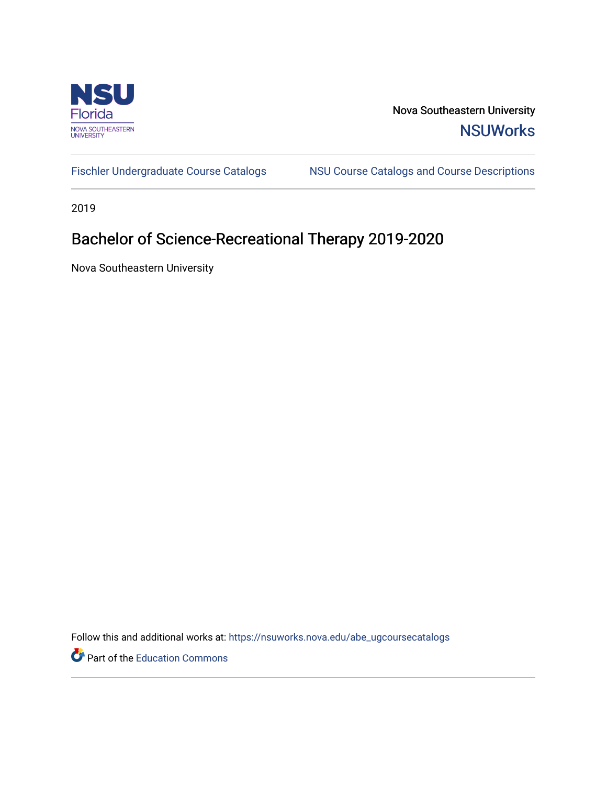

Nova Southeastern University **NSUWorks** 

[Fischler Undergraduate Course Catalogs](https://nsuworks.nova.edu/abe_ugcoursecatalogs) MSU Course Catalogs and Course Descriptions

2019

# Bachelor of Science-Recreational Therapy 2019-2020

Nova Southeastern University

Follow this and additional works at: [https://nsuworks.nova.edu/abe\\_ugcoursecatalogs](https://nsuworks.nova.edu/abe_ugcoursecatalogs?utm_source=nsuworks.nova.edu%2Fabe_ugcoursecatalogs%2F36&utm_medium=PDF&utm_campaign=PDFCoverPages) 

Part of the [Education Commons](http://network.bepress.com/hgg/discipline/784?utm_source=nsuworks.nova.edu%2Fabe_ugcoursecatalogs%2F36&utm_medium=PDF&utm_campaign=PDFCoverPages)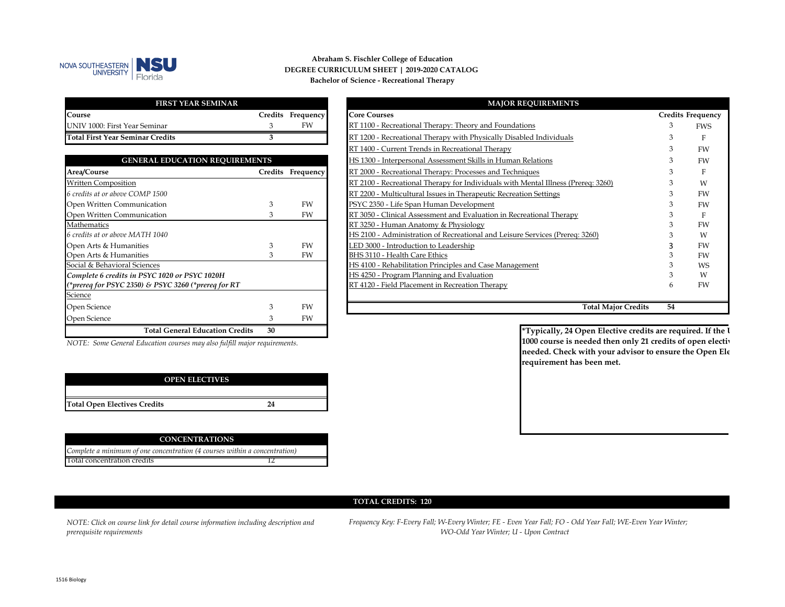

#### **Abraham S. Fischler College of Education Bachelor of Science - Recreational Therapy DEGREE CURRICULUM SHEET | 2019-2020 CATALOG**

| <b>FIRST YEAR SEMINAR</b>               |                   |
|-----------------------------------------|-------------------|
| Course                                  | Credits Frequency |
| UNIV 1000: First Year Seminar           | FW                |
| <b>Total First Year Seminar Credits</b> |                   |

| <b>GENERAL EDUCATION REQUIREMENTS</b>               |         |           |
|-----------------------------------------------------|---------|-----------|
| Area/Course                                         | Credits | Frequency |
| <b>Written Composition</b>                          |         |           |
| 6 credits at or above COMP 1500                     |         |           |
| Open Written Communication                          | З       | FW        |
| Open Written Communication                          | 3       | FW        |
| Mathematics                                         |         |           |
| 6 credits at or above MATH 1040                     |         |           |
| Open Arts & Humanities                              | 3       | FW        |
| Open Arts & Humanities                              | З       | FW        |
| Social & Behavioral Sciences                        |         |           |
| Complete 6 credits in PSYC 1020 or PSYC 1020H       |         |           |
| (*prereq for PSYC 2350) & PSYC 3260 (*prereq for RT |         |           |
| Science                                             |         |           |
| Open Science                                        | 3       | FW        |
| Open Science                                        | 3       | FW        |
| <b>Total General Education Credits</b>              | 30      |           |

| <b>MAJOR REQUIREMENTS</b>                                                         |    |                          |
|-----------------------------------------------------------------------------------|----|--------------------------|
| <b>Core Courses</b>                                                               |    | <b>Credits Frequency</b> |
| RT 1100 - Recreational Therapy: Theory and Foundations                            | 3  | <b>FWS</b>               |
| RT 1200 - Recreational Therapy with Physically Disabled Individuals               | 3  | F                        |
| RT 1400 - Current Trends in Recreational Therapy                                  | 3  | <b>FW</b>                |
| HS 1300 - Interpersonal Assessment Skills in Human Relations                      | 3  | <b>FW</b>                |
| RT 2000 - Recreational Therapy: Processes and Techniques                          | 3  | E                        |
| RT 2100 - Recreational Therapy for Individuals with Mental Illness (Prereq: 3260) | 3  | W                        |
| RT 2200 - Multicultural Issues in Therapeutic Recreation Settings                 | 3  | <b>FW</b>                |
| PSYC 2350 - Life Span Human Development                                           | 3  | <b>FW</b>                |
| RT 3050 - Clinical Assessment and Evaluation in Recreational Therapy              | 3  | F                        |
| RT 3250 - Human Anatomy & Physiology                                              | 3  | <b>FW</b>                |
| HS 2100 - Administration of Recreational and Leisure Services (Prereq: 3260)      | 3  | W                        |
| LED 3000 - Introduction to Leadership                                             | 3  | <b>FW</b>                |
| BHS 3110 - Health Care Ethics                                                     | 3  | FW                       |
| HS 4100 - Rehabilitation Principles and Case Management                           | 3  | <b>WS</b>                |
| HS 4250 - Program Planning and Evaluation                                         | 3  | W                        |
| RT 4120 - Field Placement in Recreation Therapy                                   | 6  | FW                       |
| <b>Total Major Credits</b>                                                        | 54 |                          |

*NOTE: Some General Education courses may also fulfill major requirements.*

| <b>OPEN ELECTIVES</b>               |    |
|-------------------------------------|----|
|                                     |    |
| <b>Total Open Electives Credits</b> | 24 |

| <b>CONCENTRATIONS</b>                                                      |  |
|----------------------------------------------------------------------------|--|
| Complete a minimum of one concentration (4 courses within a concentration) |  |
| Total concentration credits                                                |  |

**\*Typically, 24 Open Elective credits are required. If the U 1000 course is needed then only 21 credits of open electiv needed. Check with your advisor to ensure the Open Ele requirement has been met.** 

#### **TOTAL CREDITS: 120**

*NOTE: Click on course link for detail course information including description and prerequisite requirements*

*WO-Odd Year Winter; U - Upon Contract Frequency Key: F-Every Fall; W-Every Winter; FE - Even Year Fall; FO - Odd Year FalI; WE-Even Year Winter;*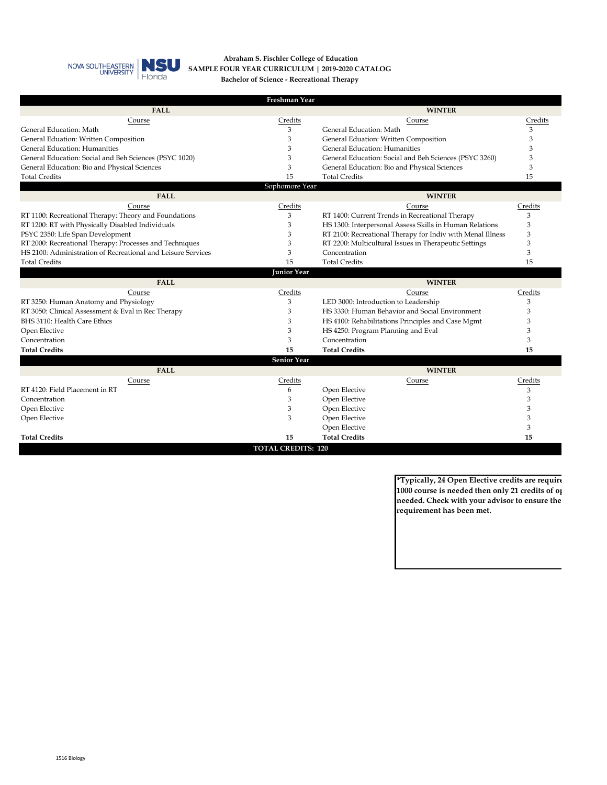

#### **Abraham S. Fischler College of Education SAMPLE FOUR YEAR CURRICULUM | 2019-2020 CATALOG Bachelor of Science - Recreational Therapy**

| Freshman Year<br>FALL<br><b>WINTER</b><br>Credits<br>Course<br>Course<br>General Education: Math<br>3<br>General Education: Math<br>3<br>3<br>General Eduation: Written Composition<br>General Eduation: Written Composition<br>3<br>General Education: Humanities<br>3<br><b>General Education: Humanities</b><br>3<br>General Education: Social and Beh Sciences (PSYC 1020)<br>3<br>General Education: Social and Beh Sciences (PSYC 3260)<br>3<br>3<br>3<br>General Education: Bio and Physical Sciences<br>General Education: Bio and Physical Sciences<br>15<br>15<br><b>Total Credits</b><br><b>Total Credits</b><br>Sophomore Year<br><b>FALL</b><br><b>WINTER</b><br>Credits<br>Credits<br>Course<br>Course<br>RT 1100: Recreational Therapy: Theory and Foundations<br>3<br>RT 1400: Current Trends in Recreational Therapy<br>3<br>RT 1200: RT with Physically Disabled Individuals<br>3<br>HS 1300: Interpersonal Assess Skills in Human Relations<br>3<br>PSYC 2350: Life Span Development<br>3<br>RT 2100: Recreational Therapy for Indiv with Menal Illness<br>3<br>RT 2000: Recreational Therapy: Processes and Techniques<br>3<br>3<br>RT 2200: Multicultural Issues in Therapeutic Settings | Credits |
|---------------------------------------------------------------------------------------------------------------------------------------------------------------------------------------------------------------------------------------------------------------------------------------------------------------------------------------------------------------------------------------------------------------------------------------------------------------------------------------------------------------------------------------------------------------------------------------------------------------------------------------------------------------------------------------------------------------------------------------------------------------------------------------------------------------------------------------------------------------------------------------------------------------------------------------------------------------------------------------------------------------------------------------------------------------------------------------------------------------------------------------------------------------------------------------------------------------|---------|
|                                                                                                                                                                                                                                                                                                                                                                                                                                                                                                                                                                                                                                                                                                                                                                                                                                                                                                                                                                                                                                                                                                                                                                                                               |         |
|                                                                                                                                                                                                                                                                                                                                                                                                                                                                                                                                                                                                                                                                                                                                                                                                                                                                                                                                                                                                                                                                                                                                                                                                               |         |
|                                                                                                                                                                                                                                                                                                                                                                                                                                                                                                                                                                                                                                                                                                                                                                                                                                                                                                                                                                                                                                                                                                                                                                                                               |         |
|                                                                                                                                                                                                                                                                                                                                                                                                                                                                                                                                                                                                                                                                                                                                                                                                                                                                                                                                                                                                                                                                                                                                                                                                               |         |
|                                                                                                                                                                                                                                                                                                                                                                                                                                                                                                                                                                                                                                                                                                                                                                                                                                                                                                                                                                                                                                                                                                                                                                                                               |         |
|                                                                                                                                                                                                                                                                                                                                                                                                                                                                                                                                                                                                                                                                                                                                                                                                                                                                                                                                                                                                                                                                                                                                                                                                               |         |
|                                                                                                                                                                                                                                                                                                                                                                                                                                                                                                                                                                                                                                                                                                                                                                                                                                                                                                                                                                                                                                                                                                                                                                                                               |         |
|                                                                                                                                                                                                                                                                                                                                                                                                                                                                                                                                                                                                                                                                                                                                                                                                                                                                                                                                                                                                                                                                                                                                                                                                               |         |
|                                                                                                                                                                                                                                                                                                                                                                                                                                                                                                                                                                                                                                                                                                                                                                                                                                                                                                                                                                                                                                                                                                                                                                                                               |         |
|                                                                                                                                                                                                                                                                                                                                                                                                                                                                                                                                                                                                                                                                                                                                                                                                                                                                                                                                                                                                                                                                                                                                                                                                               |         |
|                                                                                                                                                                                                                                                                                                                                                                                                                                                                                                                                                                                                                                                                                                                                                                                                                                                                                                                                                                                                                                                                                                                                                                                                               |         |
|                                                                                                                                                                                                                                                                                                                                                                                                                                                                                                                                                                                                                                                                                                                                                                                                                                                                                                                                                                                                                                                                                                                                                                                                               |         |
|                                                                                                                                                                                                                                                                                                                                                                                                                                                                                                                                                                                                                                                                                                                                                                                                                                                                                                                                                                                                                                                                                                                                                                                                               |         |
|                                                                                                                                                                                                                                                                                                                                                                                                                                                                                                                                                                                                                                                                                                                                                                                                                                                                                                                                                                                                                                                                                                                                                                                                               |         |
|                                                                                                                                                                                                                                                                                                                                                                                                                                                                                                                                                                                                                                                                                                                                                                                                                                                                                                                                                                                                                                                                                                                                                                                                               |         |
| HS 2100: Administration of Recreational and Leisure Services<br>3<br>3<br>Concentration                                                                                                                                                                                                                                                                                                                                                                                                                                                                                                                                                                                                                                                                                                                                                                                                                                                                                                                                                                                                                                                                                                                       |         |
| 15<br><b>Total Credits</b><br><b>Total Credits</b><br>15                                                                                                                                                                                                                                                                                                                                                                                                                                                                                                                                                                                                                                                                                                                                                                                                                                                                                                                                                                                                                                                                                                                                                      |         |
| <b>Junior Year</b>                                                                                                                                                                                                                                                                                                                                                                                                                                                                                                                                                                                                                                                                                                                                                                                                                                                                                                                                                                                                                                                                                                                                                                                            |         |
| <b>FALL</b><br><b>WINTER</b>                                                                                                                                                                                                                                                                                                                                                                                                                                                                                                                                                                                                                                                                                                                                                                                                                                                                                                                                                                                                                                                                                                                                                                                  |         |
| Credits<br>Credits<br>Course<br>Course                                                                                                                                                                                                                                                                                                                                                                                                                                                                                                                                                                                                                                                                                                                                                                                                                                                                                                                                                                                                                                                                                                                                                                        |         |
| RT 3250: Human Anatomy and Physiology<br>3<br>LED 3000: Introduction to Leadership<br>3                                                                                                                                                                                                                                                                                                                                                                                                                                                                                                                                                                                                                                                                                                                                                                                                                                                                                                                                                                                                                                                                                                                       |         |
| 3<br>3<br>RT 3050: Clinical Assessment & Eval in Rec Therapy<br>HS 3330: Human Behavior and Social Environment                                                                                                                                                                                                                                                                                                                                                                                                                                                                                                                                                                                                                                                                                                                                                                                                                                                                                                                                                                                                                                                                                                |         |
| BHS 3110: Health Care Ethics<br>3<br>3<br>HS 4100: Rehabilitations Principles and Case Mgmt                                                                                                                                                                                                                                                                                                                                                                                                                                                                                                                                                                                                                                                                                                                                                                                                                                                                                                                                                                                                                                                                                                                   |         |
| 3<br>3<br>Open Elective<br>HS 4250: Program Planning and Eval                                                                                                                                                                                                                                                                                                                                                                                                                                                                                                                                                                                                                                                                                                                                                                                                                                                                                                                                                                                                                                                                                                                                                 |         |
| 3<br>Concentration<br>3<br>Concentration                                                                                                                                                                                                                                                                                                                                                                                                                                                                                                                                                                                                                                                                                                                                                                                                                                                                                                                                                                                                                                                                                                                                                                      |         |
| 15<br><b>Total Credits</b><br><b>Total Credits</b><br>15                                                                                                                                                                                                                                                                                                                                                                                                                                                                                                                                                                                                                                                                                                                                                                                                                                                                                                                                                                                                                                                                                                                                                      |         |
| <b>Senior Year</b>                                                                                                                                                                                                                                                                                                                                                                                                                                                                                                                                                                                                                                                                                                                                                                                                                                                                                                                                                                                                                                                                                                                                                                                            |         |
| <b>FALL</b><br><b>WINTER</b>                                                                                                                                                                                                                                                                                                                                                                                                                                                                                                                                                                                                                                                                                                                                                                                                                                                                                                                                                                                                                                                                                                                                                                                  |         |
| Credits<br>Credits<br>Course<br>Course                                                                                                                                                                                                                                                                                                                                                                                                                                                                                                                                                                                                                                                                                                                                                                                                                                                                                                                                                                                                                                                                                                                                                                        |         |
| RT 4120: Field Placement in RT<br>Open Elective<br>6<br>3                                                                                                                                                                                                                                                                                                                                                                                                                                                                                                                                                                                                                                                                                                                                                                                                                                                                                                                                                                                                                                                                                                                                                     |         |
| 3<br>3<br>Open Elective<br>Concentration                                                                                                                                                                                                                                                                                                                                                                                                                                                                                                                                                                                                                                                                                                                                                                                                                                                                                                                                                                                                                                                                                                                                                                      |         |
| 3<br>Open Elective<br>3<br>Open Elective                                                                                                                                                                                                                                                                                                                                                                                                                                                                                                                                                                                                                                                                                                                                                                                                                                                                                                                                                                                                                                                                                                                                                                      |         |
| 3<br>Open Elective<br>3<br>Open Elective                                                                                                                                                                                                                                                                                                                                                                                                                                                                                                                                                                                                                                                                                                                                                                                                                                                                                                                                                                                                                                                                                                                                                                      |         |
| Open Elective<br>3                                                                                                                                                                                                                                                                                                                                                                                                                                                                                                                                                                                                                                                                                                                                                                                                                                                                                                                                                                                                                                                                                                                                                                                            |         |
| <b>Total Credits</b><br><b>Total Credits</b><br>15<br>15                                                                                                                                                                                                                                                                                                                                                                                                                                                                                                                                                                                                                                                                                                                                                                                                                                                                                                                                                                                                                                                                                                                                                      |         |

**\*Typically, 24 Open Elective credits are require 1000 course is needed then only 21 credits of op needed. Check with your advisor to ensure the requirement has been met.**